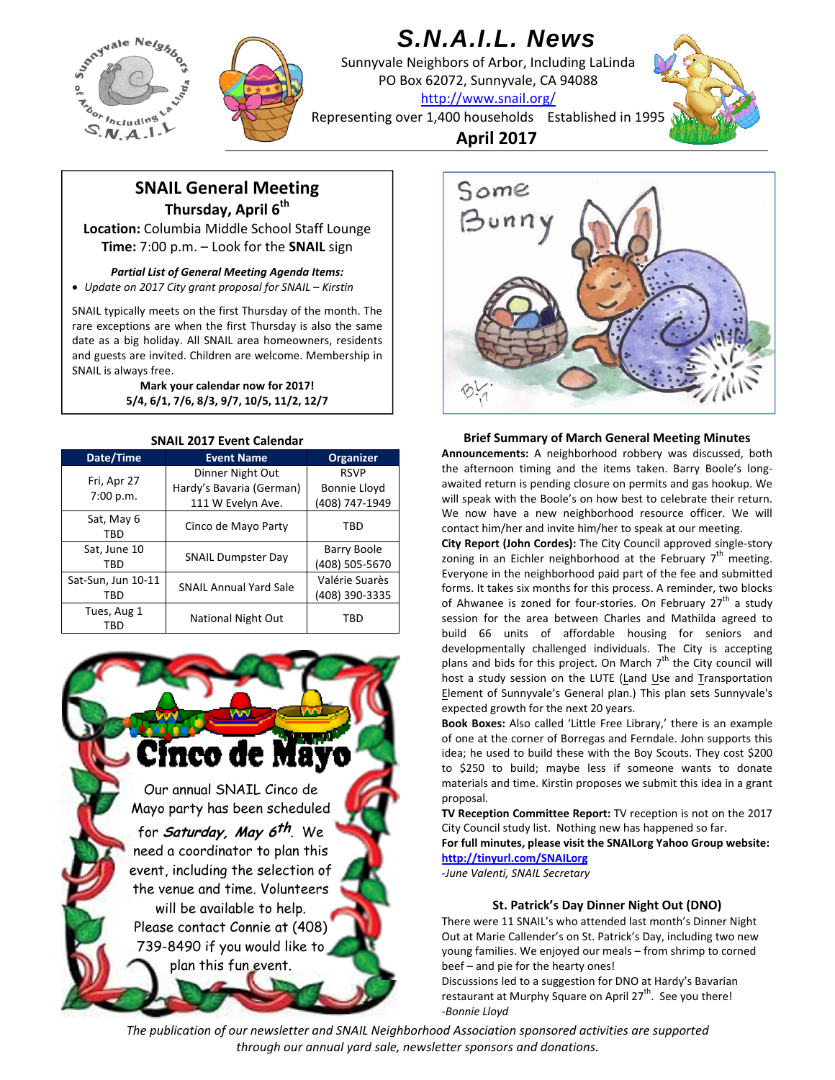



# *S.N.A.I.L. News*

Sunnyvale Neighbors of Arbor, Including LaLinda PO Box 62072, Sunnyvale, CA 94088 http://www.snail.org/



Representing over 1,400 households Established in 1995

**April 2017**

# **SNAIL General Meeting Thursday, April 6<sup>th</sup>**

**Location:** Columbia Middle School Staff Lounge **Time:** 7:00 p.m. – Look for the **SNAIL** sign

*Partial List of General Meeting Agenda Items: Update on 2017 City grant proposal for SNAIL – Kirstin*

SNAIL typically meets on the first Thursday of the month. The rare exceptions are when the first Thursday is also the same date as a big holiday. All SNAIL area homeowners, residents and guests are invited. Children are welcome. Membership in SNAIL is always free.

> **Mark your calendar now for 2017! 5/4, 6/1, 7/6, 8/3, 9/7, 10/5, 11/2, 12/7**

| <b>SNAIL 2017 Event Calendar</b> |                                              |                                      |  |  |  |
|----------------------------------|----------------------------------------------|--------------------------------------|--|--|--|
| Date/Time                        | <b>Event Name</b>                            | Organizer                            |  |  |  |
| Fri, Apr 27<br>7:00 p.m.         | Dinner Night Out<br>Hardy's Bavaria (German) | <b>RSVP</b><br>Bonnie Lloyd          |  |  |  |
|                                  | 111 W Evelyn Ave.                            | (408) 747-1949                       |  |  |  |
| Sat, May 6<br>TBD                | Cinco de Mayo Party                          | TBD                                  |  |  |  |
| Sat, June 10<br>TBD              | <b>SNAIL Dumpster Day</b>                    | <b>Barry Boole</b><br>(408) 505-5670 |  |  |  |
| Sat-Sun, Jun 10-11<br>TBD        | <b>SNAIL Annual Yard Sale</b>                | Valérie Suarès<br>(408) 390-3335     |  |  |  |
| Tues, Aug 1<br>TBD               | National Night Out                           | TBD                                  |  |  |  |





**Brief Summary of March General Meeting Minutes**

**Announcements:** A neighborhood robbery was discussed, both the afternoon timing and the items taken. Barry Boole's long‐ awaited return is pending closure on permits and gas hookup. We will speak with the Boole's on how best to celebrate their return. We now have a new neighborhood resource officer. We will contact him/her and invite him/her to speak at our meeting.

**City Report (John Cordes):** The City Council approved single‐story zoning in an Eichler neighborhood at the February  $7<sup>th</sup>$  meeting. Everyone in the neighborhood paid part of the fee and submitted forms. It takes six months for this process. A reminder, two blocks of Ahwanee is zoned for four-stories. On February  $27<sup>th</sup>$  a study session for the area between Charles and Mathilda agreed to build 66 units of affordable housing for seniors and developmentally challenged individuals. The City is accepting plans and bids for this project. On March  $7<sup>th</sup>$  the City council will host a study session on the LUTE (Land Use and Transportation Element of Sunnyvale's General plan.) This plan sets Sunnyvale's expected growth for the next 20 years.

**Book Boxes:** Also called 'Little Free Library,' there is an example of one at the corner of Borregas and Ferndale. John supports this idea; he used to build these with the Boy Scouts. They cost \$200 to \$250 to build; maybe less if someone wants to donate materials and time. Kirstin proposes we submit this idea in a grant proposal.

**TV Reception Committee Report:** TV reception is not on the 2017 City Council study list. Nothing new has happened so far.

**For full minutes, please visit the SNAILorg Yahoo Group website: http://tinyurl.com/SNAILorg**

*‐June Valenti, SNAIL Secretary*

# **St. Patrick's Day Dinner Night Out (DNO)**

There were 11 SNAIL's who attended last month's Dinner Night Out at Marie Callender's on St. Patrick's Day, including two new young families. We enjoyed our meals – from shrimp to corned beef – and pie for the hearty ones!

Discussions led to a suggestion for DNO at Hardy's Bavarian restaurant at Murphy Square on April 27<sup>th</sup>. See you there! *‐Bonnie Lloyd*

*The publication of our newsletter and SNAIL Neighborhood Association sponsored activities are supported through our annual yard sale, newsletter sponsors and donations.*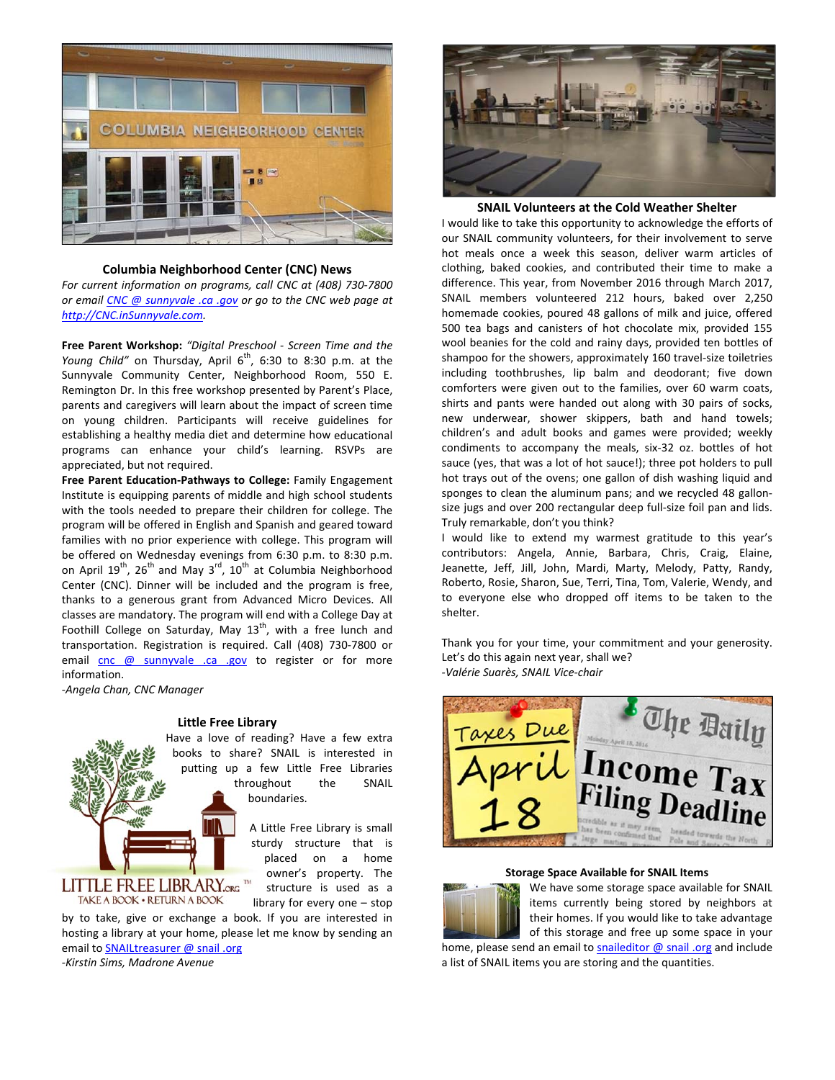

# **Columbia Neighborhood Center (CNC) News**

*For current information on programs, call CNC at (408) 730‐7800 or email CNC @ sunnyvale .ca .gov or go to the CNC web page at http://CNC.inSunnyvale.com.*

**Free Parent Workshop:** *"Digital Preschool ‐ Screen Time and the Young Child"* on Thursday, April 6<sup>th</sup>, 6:30 to 8:30 p.m. at the Sunnyvale Community Center, Neighborhood Room, 550 E. Remington Dr. In this free workshop presented by Parent's Place, parents and caregivers will learn about the impact of screen time on young children. Participants will receive guidelines for establishing a healthy media diet and determine how educational programs can enhance your child's learning. RSVPs are appreciated, but not required.

**Free Parent Education‐Pathways to College:** Family Engagement Institute is equipping parents of middle and high school students with the tools needed to prepare their children for college. The program will be offered in English and Spanish and geared toward families with no prior experience with college. This program will be offered on Wednesday evenings from 6:30 p.m. to 8:30 p.m. on April  $19^{th}$ ,  $26^{th}$  and May  $3^{rd}$ ,  $10^{th}$  at Columbia Neighborhood Center (CNC). Dinner will be included and the program is free, thanks to a generous grant from Advanced Micro Devices. All classes are mandatory. The program will end with a College Day at Foothill College on Saturday, May  $13<sup>th</sup>$ , with a free lunch and transportation. Registration is required. Call (408) 730‐7800 or email cnc @ sunnyvale .ca .gov to register or for more information.

‐*Angela Chan, CNC Manager*

#### **Little Free Library**



# LITTLE FREE LIBRARY.org TAKE A BOOK . RETURN A BOOK

A Little Free Library is small sturdy structure that is

> owner's property. The structure is used as a library for every one – stop

by to take, give or exchange a book. If you are interested in hosting a library at your home, please let me know by sending an email to SNAILtreasurer @ snail .org *‐Kirstin Sims, Madrone Avenue*



**SNAIL Volunteers at the Cold Weather Shelter**

I would like to take this opportunity to acknowledge the efforts of our SNAIL community volunteers, for their involvement to serve hot meals once a week this season, deliver warm articles of clothing, baked cookies, and contributed their time to make a difference. This year, from November 2016 through March 2017, SNAIL members volunteered 212 hours, baked over 2,250 homemade cookies, poured 48 gallons of milk and juice, offered 500 tea bags and canisters of hot chocolate mix, provided 155 wool beanies for the cold and rainy days, provided ten bottles of shampoo for the showers, approximately 160 travel‐size toiletries including toothbrushes, lip balm and deodorant; five down comforters were given out to the families, over 60 warm coats, shirts and pants were handed out along with 30 pairs of socks, new underwear, shower skippers, bath and hand towels; children's and adult books and games were provided; weekly condiments to accompany the meals, six‐32 oz. bottles of hot sauce (yes, that was a lot of hot sauce!); three pot holders to pull hot trays out of the ovens; one gallon of dish washing liquid and sponges to clean the aluminum pans; and we recycled 48 gallonsize jugs and over 200 rectangular deep full‐size foil pan and lids. Truly remarkable, don't you think?

I would like to extend my warmest gratitude to this year's contributors: Angela, Annie, Barbara, Chris, Craig, Elaine, Jeanette, Jeff, Jill, John, Mardi, Marty, Melody, Patty, Randy, Roberto, Rosie, Sharon, Sue, Terri, Tina, Tom, Valerie, Wendy, and to everyone else who dropped off items to be taken to the shelter.

Thank you for your time, your commitment and your generosity. Let's do this again next year, shall we? *‐Valérie Suarès, SNAIL Vice‐chair*



#### **Storage Space Available for SNAIL Items**



We have some storage space available for SNAIL items currently being stored by neighbors at their homes. If you would like to take advantage of this storage and free up some space in your

home, please send an email to snaileditor  $\omega$  snail .org and include a list of SNAIL items you are storing and the quantities.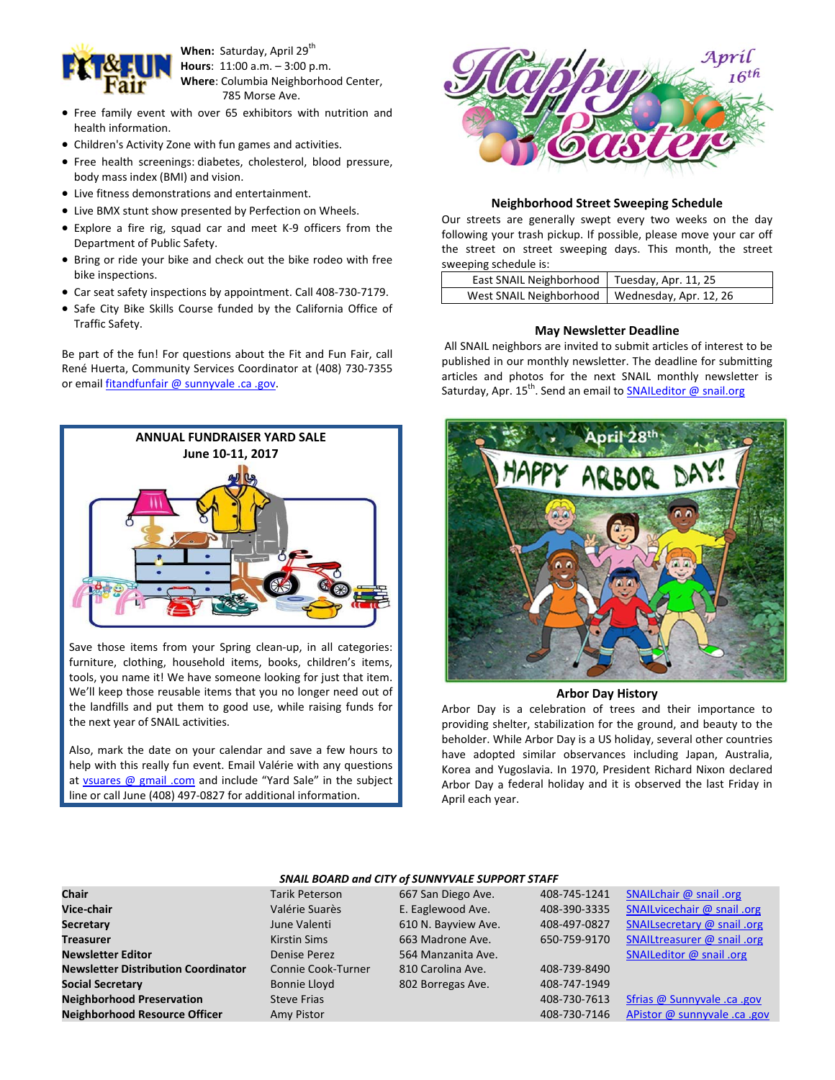

**When:** Saturday, April 29<sup>th</sup>  **Hours**: 11:00 a.m. – 3:00 p.m.  **Where**: Columbia Neighborhood Center, 785 Morse Ave.

- Free family event with over 65 exhibitors with nutrition and health information.
- Children's Activity Zone with fun games and activities.
- Free health screenings: diabetes, cholesterol, blood pressure, body mass index (BMI) and vision.
- Live fitness demonstrations and entertainment.
- Live BMX stunt show presented by Perfection on Wheels.
- Explore a fire rig, squad car and meet K-9 officers from the Department of Public Safety.
- Bring or ride your bike and check out the bike rodeo with free bike inspections.
- Car seat safety inspections by appointment. Call 408‐730‐7179.
- Safe City Bike Skills Course funded by the California Office of Traffic Safety.

Be part of the fun! For questions about the Fit and Fun Fair, call René Huerta, Community Services Coordinator at (408) 730‐7355 or email fitandfunfair @ sunnyvale .ca .gov.



Save those items from your Spring clean-up, in all categories: furniture, clothing, household items, books, children's items, tools, you name it! We have someone looking for just that item. We'll keep those reusable items that you no longer need out of the landfills and put them to good use, while raising funds for the next year of SNAIL activities.

Also, mark the date on your calendar and save a few hours to help with this really fun event. Email Valérie with any questions at  $vsuares @ gmail.com$  and include "Yard Sale" in the subject</u> line or call June (408) 497‐0827 for additional information.



### **Neighborhood Street Sweeping Schedule**

Our streets are generally swept every two weeks on the day following your trash pickup. If possible, please move your car off the street on street sweeping days. This month, the street sweeping schedule is:

| East SNAIL Neighborhood   Tuesday, Apr. 11, 25   |  |
|--------------------------------------------------|--|
| West SNAIL Neighborhood   Wednesday, Apr. 12, 26 |  |

# **May Newsletter Deadline**

All SNAIL neighbors are invited to submit articles of interest to be published in our monthly newsletter. The deadline for submitting articles and photos for the next SNAIL monthly newsletter is Saturday, Apr. 15<sup>th</sup>. Send an email to **SNAILeditor @ snail.org** 



# **Arbor Day History**

Arbor Day is a celebration of trees and their importance to providing shelter, stabilization for the ground, and beauty to the beholder. While Arbor Day is a US holiday, several other countries have adopted similar observances including Japan, Australia, Korea and Yugoslavia. In 1970, President Richard Nixon declared Arbor Day a federal holiday and it is observed the last Friday in April each year.

| Chair                                     |
|-------------------------------------------|
| Vice-chair                                |
| <b>Secretary</b>                          |
| <b>Treasurer</b>                          |
| <b>Newsletter Editor</b>                  |
| <b>Newsletter Distribution Coordinate</b> |
| <b>Social Secretary</b>                   |
| <b>Neighborhood Preservation</b>          |
| <b>Neighborhood Resource Officer</b>      |
|                                           |

# *SNAIL BOARD and CITY of SUNNYVALE SUPPORT STAFF*

Tarik Peterson 667 San Diego Ave. 408-745-1241 SNAILchair @ snail .org Valérie Suarès **E. Eaglewood Ave.** June Valenti 610 N. Bayview Ave. **Treasurer Kirstin Sims 663 Madrone Ave. Denise Perez 564 Manzanita Ave. Dr** Connie Cook‐Turner 810 Carolina Ave. Bonnie Lloyd 802 Borregas Ave. **Amy Pistor Resource** *Resource**Resource Amy Pistor @ sunnyvale .ca .gov***</u> <b>Amy Pistor Ca .gov** 

| Vice-chair                                 | Valérie Suarès      | E. Eaglewood Ave.   | 408-390-3335 | SNAILvicechair @ snail .org |
|--------------------------------------------|---------------------|---------------------|--------------|-----------------------------|
| <b>Secretary</b>                           | June Valenti        | 610 N. Bayview Ave. | 408-497-0827 | SNAILsecretary @ snail .org |
| <b>Treasurer</b>                           | <b>Kirstin Sims</b> | 663 Madrone Ave.    | 650-759-9170 | SNAILtreasurer @ snail .org |
| <b>Newsletter Editor</b>                   | Denise Perez        | 564 Manzanita Ave.  |              | SNAILeditor @ snail .org    |
| <b>Newsletter Distribution Coordinator</b> | Connie Cook-Turner  | 810 Carolina Ave.   | 408-739-8490 |                             |
| <b>Social Secretary</b>                    | <b>Bonnie Lloyd</b> | 802 Borregas Ave.   | 408-747-1949 |                             |
| <b>Neighborhood Preservation</b>           | <b>Steve Frias</b>  |                     | 408-730-7613 | Sfrias @ Sunnyvale .ca .gov |
|                                            |                     |                     |              |                             |